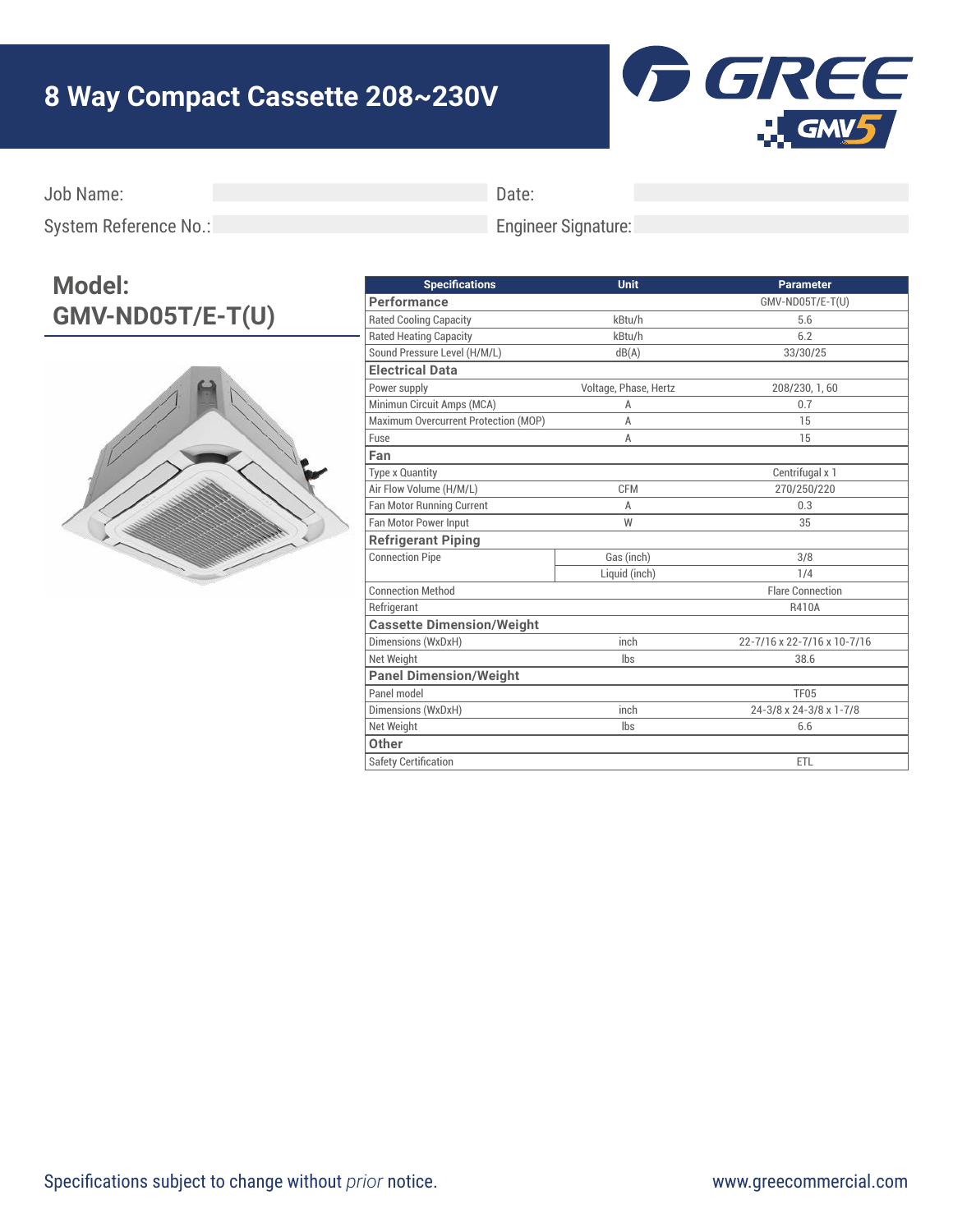## **8 Way Compact Cassette 208~230V**



Job Name:

Date:

System Reference No.:

## Engineer Signature:

## **Model: GMV-ND05T/E-T(U)**



| <b>Specifications</b>                | <b>Unit</b>           | <b>Parameter</b>            |
|--------------------------------------|-----------------------|-----------------------------|
| Performance                          |                       | GMV-ND05T/E-T(U)            |
| <b>Rated Cooling Capacity</b>        | kBtu/h                | 5.6                         |
| <b>Rated Heating Capacity</b>        | kBtu/h                | 6.2                         |
| Sound Pressure Level (H/M/L)         | dB(A)                 | 33/30/25                    |
| <b>Electrical Data</b>               |                       |                             |
| Power supply                         | Voltage, Phase, Hertz | 208/230, 1, 60              |
| Minimun Circuit Amps (MCA)           | A                     | 0.7                         |
| Maximum Overcurrent Protection (MOP) | Α                     | 15                          |
| Fuse                                 | Α                     | 15                          |
| Fan                                  |                       |                             |
| Type x Quantity                      |                       | Centrifugal x 1             |
| Air Flow Volume (H/M/L)              | <b>CFM</b>            | 270/250/220                 |
| Fan Motor Running Current            | A                     | 0.3                         |
| Fan Motor Power Input                | W                     | 35                          |
| <b>Refrigerant Piping</b>            |                       |                             |
| <b>Connection Pipe</b>               | Gas (inch)            | 3/8                         |
|                                      | Liquid (inch)         | 1/4                         |
| <b>Connection Method</b>             |                       | <b>Flare Connection</b>     |
| Refrigerant                          |                       | R410A                       |
| <b>Cassette Dimension/Weight</b>     |                       |                             |
| Dimensions (WxDxH)                   | inch                  | 22-7/16 x 22-7/16 x 10-7/16 |
| Net Weight                           | Ibs                   | 38.6                        |
| <b>Panel Dimension/Weight</b>        |                       |                             |
| Panel model                          |                       | <b>TF05</b>                 |
| Dimensions (WxDxH)                   | inch                  | 24-3/8 x 24-3/8 x 1-7/8     |
| Net Weight                           | lbs                   | 6.6                         |
| Other                                |                       |                             |
| <b>Safety Certification</b>          |                       | <b>ETL</b>                  |